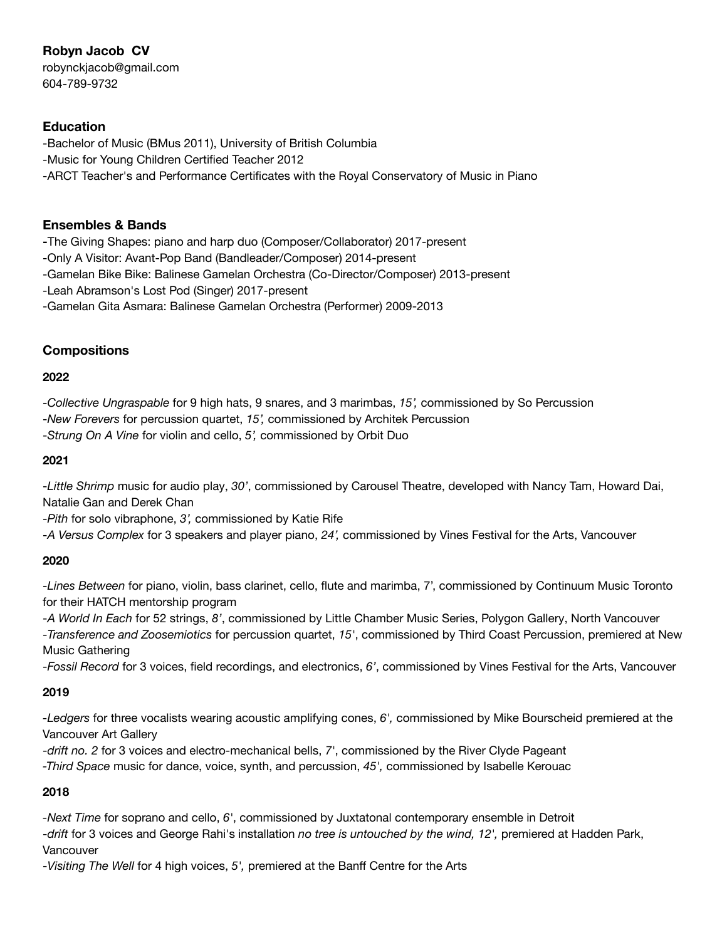# **Robyn Jacob CV**

robynckjacob@gmail.com 604-789-9732

## **Education**

-Bachelor of Music (BMus 2011), University of British Columbia -Music for Young Children Certified Teacher 2012 -ARCT Teacher's and Performance Certificates with the Royal Conservatory of Music in Piano

#### **Ensembles & Bands**

**-**The Giving Shapes: piano and harp duo (Composer/Collaborator) 2017-present

-Only A Visitor: Avant-Pop Band (Bandleader/Composer) 2014-present

-Gamelan Bike Bike: Balinese Gamelan Orchestra (Co-Director/Composer) 2013-present

-Leah Abramson's Lost Pod (Singer) 2017-present

-Gamelan Gita Asmara: Balinese Gamelan Orchestra (Performer) 2009-2013

### **Compositions**

#### **2022**

-*Collective Ungraspable* for 9 high hats, 9 snares, and 3 marimbas, *15',* commissioned by So Percussion -*New Forevers* for percussion quartet, *15',* commissioned by Architek Percussion -*Strung On A Vine* for violin and cello, *5',* commissioned by Orbit Duo

#### **2021**

-*Little Shrimp* music for audio play, *30'*, commissioned by Carousel Theatre, developed with Nancy Tam, Howard Dai, Natalie Gan and Derek Chan

-*Pith* for solo vibraphone, *3',* commissioned by Katie Rife

-*A Versus Complex* for 3 speakers and player piano, *24',* commissioned by Vines Festival for the Arts, Vancouver

### **2020**

-*Lines Between* for piano, violin, bass clarinet, cello, flute and marimba, 7', commissioned by Continuum Music Toronto for their HATCH mentorship program

-*A World In Each* for 52 strings, *8'*, commissioned by Little Chamber Music Series, Polygon Gallery, North Vancouver -*Transference and Zoosemiotics* for percussion quartet, *15'*, commissioned by Third Coast Percussion, premiered at New Music Gathering

-*Fossil Record* for 3 voices, field recordings, and electronics, *6'*, commissioned by Vines Festival for the Arts, Vancouver

### **2019**

*-Ledgers* for three vocalists wearing acoustic amplifying cones, *6',* commissioned by Mike Bourscheid premiered at the Vancouver Art Gallery

-*drift no. 2* for 3 voices and electro-mechanical bells, *7'*, commissioned by the River Clyde Pageant

*-Third Space* music for dance, voice, synth, and percussion, *45',* commissioned by Isabelle Kerouac

### **2018**

*-Next Time* for soprano and cello, *6'*, commissioned by Juxtatonal contemporary ensemble in Detroit -*drift* for 3 voices and George Rahi's installation *no tree is untouched by the wind, 12',* premiered at Hadden Park, Vancouver

-*Visiting The Well* for 4 high voices, *5',* premiered at the Banff Centre for the Arts